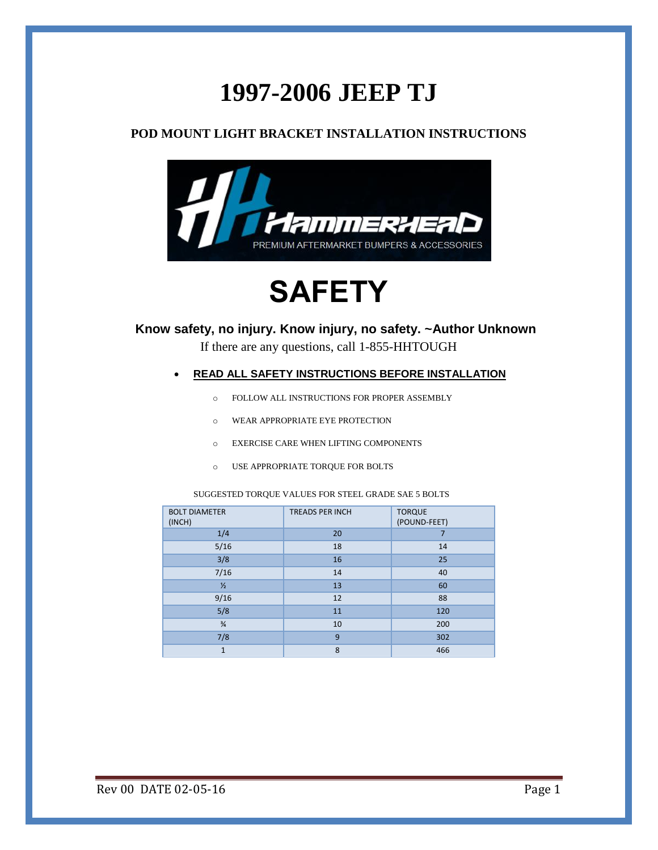# **1997-2006 JEEP TJ**

### **POD MOUNT LIGHT BRACKET INSTALLATION INSTRUCTIONS**



# **SAFETY**

**Know safety, no injury. Know injury, no safety. ~Author Unknown**

If there are any questions, call 1-855-HHTOUGH

#### **READ ALL SAFETY INSTRUCTIONS BEFORE INSTALLATION**

- o FOLLOW ALL INSTRUCTIONS FOR PROPER ASSEMBLY
- o WEAR APPROPRIATE EYE PROTECTION
- o EXERCISE CARE WHEN LIFTING COMPONENTS
- o USE APPROPRIATE TORQUE FOR BOLTS

SUGGESTED TORQUE VALUES FOR STEEL GRADE SAE 5 BOLTS

| <b>BOLT DIAMETER</b><br>(INCH) | <b>TREADS PER INCH</b> | <b>TORQUE</b><br>(POUND-FEET) |
|--------------------------------|------------------------|-------------------------------|
| 1/4                            | 20                     |                               |
| 5/16                           | 18                     | 14                            |
| 3/8                            | 16                     | 25                            |
| 7/16                           | 14                     | 40                            |
| $\frac{1}{2}$                  | 13                     | 60                            |
| 9/16                           | 12                     | 88                            |
| 5/8                            | 11                     | 120                           |
| $\frac{3}{4}$                  | 10                     | 200                           |
| 7/8                            | 9                      | 302                           |
| $\mathbf{1}$                   | 8                      | 466                           |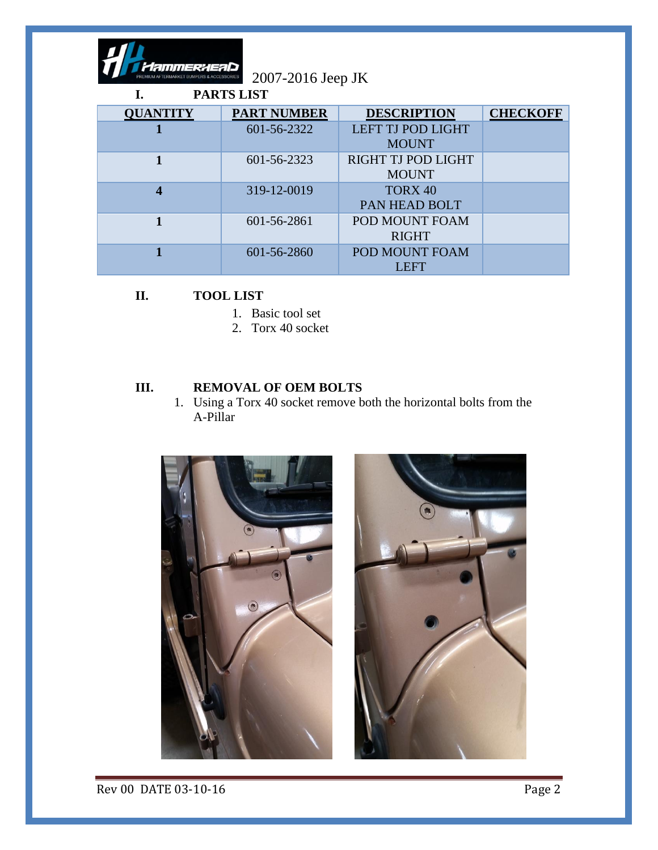

2007-2016 Jeep JK

| <b>PARTS LIST</b> |                    |                                     |                 |  |
|-------------------|--------------------|-------------------------------------|-----------------|--|
| <b>QUANTITY</b>   | <b>PART NUMBER</b> | <b>DESCRIPTION</b>                  | <b>CHECKOFF</b> |  |
|                   | 601-56-2322        | LEFT TJ POD LIGHT<br><b>MOUNT</b>   |                 |  |
|                   | 601-56-2323        | RIGHT TJ POD LIGHT<br><b>MOUNT</b>  |                 |  |
| 4                 | 319-12-0019        | TORX <sub>40</sub><br>PAN HEAD BOLT |                 |  |
|                   | 601-56-2861        | POD MOUNT FOAM<br><b>RIGHT</b>      |                 |  |
|                   | 601-56-2860        | POD MOUNT FOAM<br><b>LEFT</b>       |                 |  |

# **II. TOOL LIST**

- 1. Basic tool set
- 2. Torx 40 socket

### **III. REMOVAL OF OEM BOLTS**

1. Using a Torx 40 socket remove both the horizontal bolts from the A-Pillar





Rev 00 DATE 03-10-16 Page 2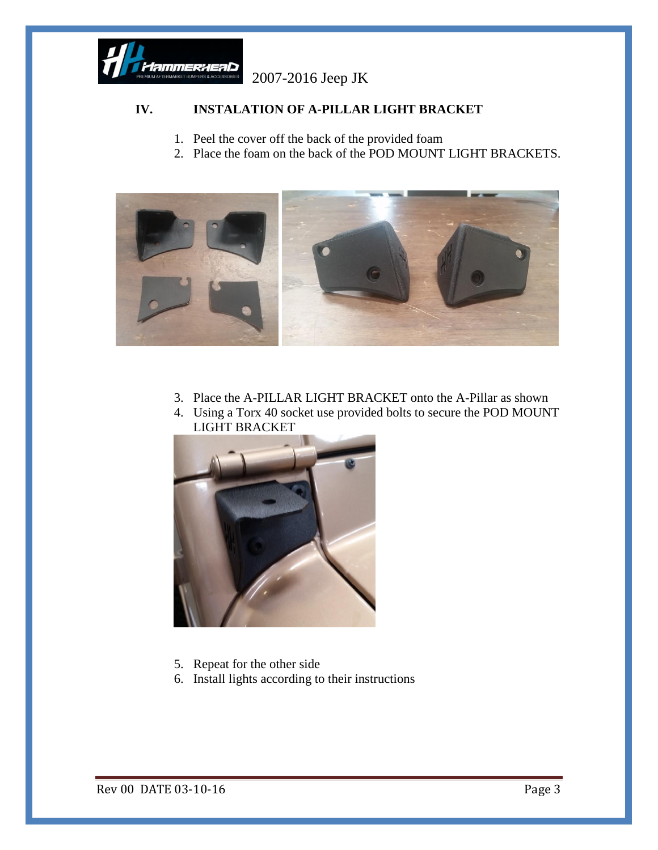

2007-2016 Jeep JK

## **IV. INSTALATION OF A-PILLAR LIGHT BRACKET**

- 1. Peel the cover off the back of the provided foam
- 2. Place the foam on the back of the POD MOUNT LIGHT BRACKETS.



- 3. Place the A-PILLAR LIGHT BRACKET onto the A-Pillar as shown
- 4. Using a Torx 40 socket use provided bolts to secure the POD MOUNT LIGHT BRACKET



- 5. Repeat for the other side
- 6. Install lights according to their instructions